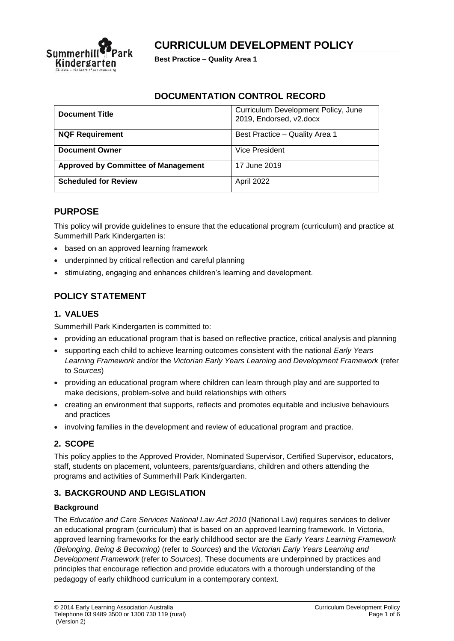

# **CURRICULUM DEVELOPMENT POLICY**

**Best Practice – Quality Area 1**

## **DOCUMENTATION CONTROL RECORD**

| <b>Document Title</b>                      | Curriculum Development Policy, June<br>2019, Endorsed, v2.docx |
|--------------------------------------------|----------------------------------------------------------------|
| <b>NQF Requirement</b>                     | Best Practice - Quality Area 1                                 |
| <b>Document Owner</b>                      | Vice President                                                 |
| <b>Approved by Committee of Management</b> | 17 June 2019                                                   |
| <b>Scheduled for Review</b>                | April 2022                                                     |

### **PURPOSE**

This policy will provide guidelines to ensure that the educational program (curriculum) and practice at Summerhill Park Kindergarten is:

- based on an approved learning framework
- underpinned by critical reflection and careful planning
- stimulating, engaging and enhances children's learning and development.

## **POLICY STATEMENT**

### **1. VALUES**

Summerhill Park Kindergarten is committed to:

- providing an educational program that is based on reflective practice, critical analysis and planning
- supporting each child to achieve learning outcomes consistent with the national *Early Years Learning Framework* and/or the *Victorian Early Years Learning and Development Framework* (refer to *Sources*)
- providing an educational program where children can learn through play and are supported to make decisions, problem-solve and build relationships with others
- creating an environment that supports, reflects and promotes equitable and inclusive behaviours and practices
- involving families in the development and review of educational program and practice.

#### **2. SCOPE**

This policy applies to the Approved Provider, Nominated Supervisor, Certified Supervisor, educators, staff, students on placement, volunteers, parents/guardians, children and others attending the programs and activities of Summerhill Park Kindergarten.

## **3. BACKGROUND AND LEGISLATION**

#### **Background**

The *Education and Care Services National Law Act 2010* (National Law) requires services to deliver an educational program (curriculum) that is based on an approved learning framework. In Victoria, approved learning frameworks for the early childhood sector are the *Early Years Learning Framework (Belonging, Being & Becoming)* (refer to *Sources*) and the *Victorian Early Years Learning and Development Framework* (refer to *Sources*). These documents are underpinned by practices and principles that encourage reflection and provide educators with a thorough understanding of the pedagogy of early childhood curriculum in a contemporary context.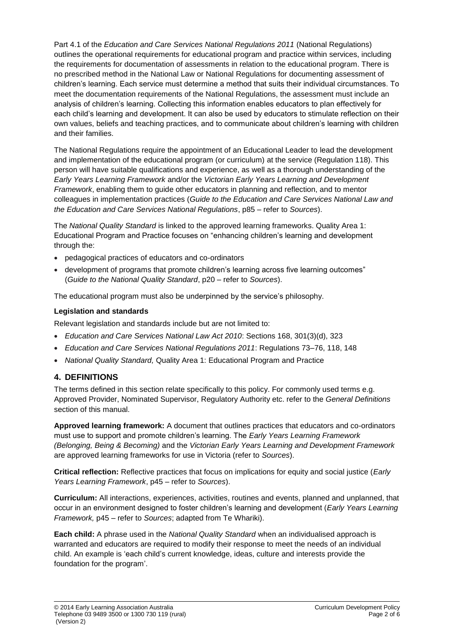Part 4.1 of the *Education and Care Services National Regulations 2011* (National Regulations) outlines the operational requirements for educational program and practice within services, including the requirements for documentation of assessments in relation to the educational program. There is no prescribed method in the National Law or National Regulations for documenting assessment of children's learning. Each service must determine a method that suits their individual circumstances. To meet the documentation requirements of the National Regulations, the assessment must include an analysis of children's learning. Collecting this information enables educators to plan effectively for each child's learning and development. It can also be used by educators to stimulate reflection on their own values, beliefs and teaching practices, and to communicate about children's learning with children and their families.

The National Regulations require the appointment of an Educational Leader to lead the development and implementation of the educational program (or curriculum) at the service (Regulation 118). This person will have suitable qualifications and experience, as well as a thorough understanding of the *Early Years Learning Framework* and/or the *Victorian Early Years Learning and Development Framework*, enabling them to guide other educators in planning and reflection, and to mentor colleagues in implementation practices (*Guide to the Education and Care Services National Law and the Education and Care Services National Regulations*, p85 – refer to *Sources*).

The *National Quality Standard* is linked to the approved learning frameworks. Quality Area 1: Educational Program and Practice focuses on "enhancing children's learning and development through the:

- pedagogical practices of educators and co-ordinators
- development of programs that promote children's learning across five learning outcomes" (*Guide to the National Quality Standard*, p20 – refer to *Sources*).

The educational program must also be underpinned by the service's philosophy.

#### **Legislation and standards**

Relevant legislation and standards include but are not limited to:

- *Education and Care Services National Law Act 2010*: Sections 168, 301(3)(d), 323
- *Education and Care Services National Regulations 2011*: Regulations 73–76, 118, 148
- *National Quality Standard,* Quality Area 1: Educational Program and Practice

#### **4. DEFINITIONS**

The terms defined in this section relate specifically to this policy. For commonly used terms e.g. Approved Provider, Nominated Supervisor, Regulatory Authority etc. refer to the *General Definitions* section of this manual.

**Approved learning framework:** A document that outlines practices that educators and co-ordinators must use to support and promote children's learning. The *Early Years Learning Framework (Belonging, Being & Becoming)* and the *Victorian Early Years Learning and Development Framework* are approved learning frameworks for use in Victoria (refer to *Sources*).

**Critical reflection:** Reflective practices that focus on implications for equity and social justice (*Early Years Learning Framework*, p45 – refer to *Sources*).

**Curriculum:** All interactions, experiences, activities, routines and events, planned and unplanned, that occur in an environment designed to foster children's learning and development (*Early Years Learning Framework,* p45 – refer to *Sources*; adapted from Te Whariki).

**Each child:** A phrase used in the *National Quality Standard* when an individualised approach is warranted and educators are required to modify their response to meet the needs of an individual child. An example is 'each child's current knowledge, ideas, culture and interests provide the foundation for the program'.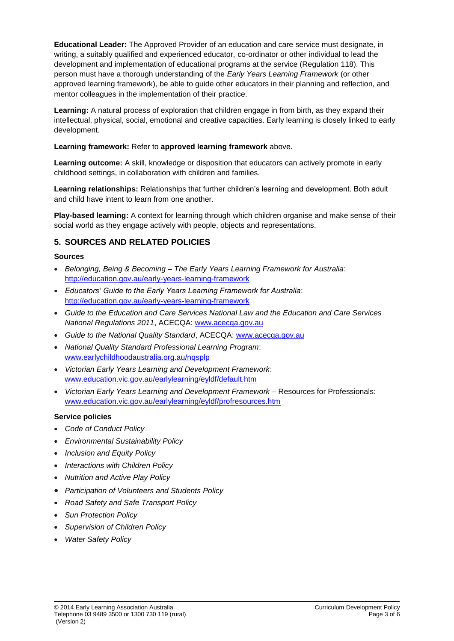**Educational Leader:** The Approved Provider of an education and care service must designate, in writing, a suitably qualified and experienced educator, co-ordinator or other individual to lead the development and implementation of educational programs at the service (Regulation 118). This person must have a thorough understanding of the *Early Years Learning Framework* (or other approved learning framework), be able to guide other educators in their planning and reflection, and mentor colleagues in the implementation of their practice.

**Learning:** A natural process of exploration that children engage in from birth, as they expand their intellectual, physical, social, emotional and creative capacities. Early learning is closely linked to early development.

#### **Learning framework:** Refer to **approved learning framework** above.

**Learning outcome:** A skill, knowledge or disposition that educators can actively promote in early childhood settings, in collaboration with children and families.

**Learning relationships:** Relationships that further children's learning and development. Both adult and child have intent to learn from one another.

**Play-based learning:** A context for learning through which children organise and make sense of their social world as they engage actively with people, objects and representations.

## **5. SOURCES AND RELATED POLICIES**

#### **Sources**

- *Belonging, Being & Becoming – The Early Years Learning Framework for Australia*: <http://education.gov.au/early-years-learning-framework>
- *Educators' Guide to the Early Years Learning Framework for Australia*: <http://education.gov.au/early-years-learning-framework>
- *Guide to the Education and Care Services National Law and the Education and Care Services National Regulations 2011*, ACECQA: [www.acecqa.gov.au](http://www.acecqa.gov.au/)
- *Guide to the National Quality Standard*, ACECQA: [www.acecqa.gov.au](http://www.acecqa.gov.au/)
- *National Quality Standard Professional Learning Program*: [www.earlychildhoodaustralia.org.au/nqsplp](http://www.earlychildhoodaustralia.org.au/nqsplp)
- *Victorian Early Years Learning and Development Framework*: [www.education.vic.gov.au/earlylearning/eyldf/default.htm](http://www.education.vic.gov.au/earlylearning/eyldf/default.htm)
- *Victorian Early Years Learning and Development Framework* Resources for Professionals: [www.education.vic.gov.au/earlylearning/eyldf/profresources.htm](http://www.education.vic.gov.au/earlylearning/eyldf/profresources.htm)

#### **Service policies**

- *Code of Conduct Policy*
- *Environmental Sustainability Policy*
- *Inclusion and Equity Policy*
- *Interactions with Children Policy*
- *Nutrition and Active Play Policy*
- *Participation of Volunteers and Students Policy*
- *Road Safety and Safe Transport Policy*
- *Sun Protection Policy*
- *Supervision of Children Policy*
- *Water Safety Policy*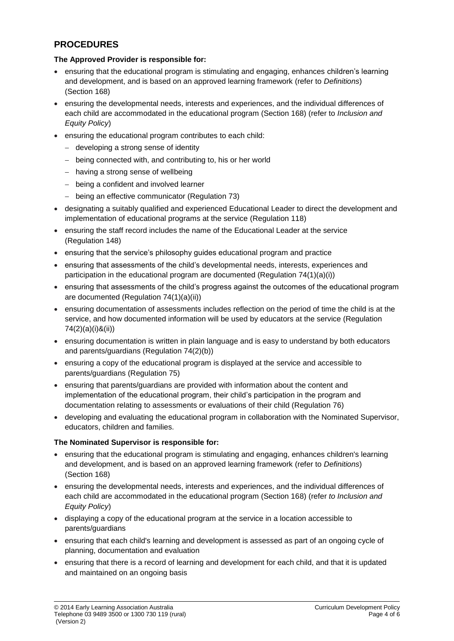## **PROCEDURES**

### **The Approved Provider is responsible for:**

- ensuring that the educational program is stimulating and engaging, enhances children's learning and development, and is based on an approved learning framework (refer to *Definitions*) (Section 168)
- ensuring the developmental needs, interests and experiences, and the individual differences of each child are accommodated in the educational program (Section 168) (refer to *Inclusion and Equity Policy*)
- ensuring the educational program contributes to each child:
	- − developing a strong sense of identity
	- − being connected with, and contributing to, his or her world
	- − having a strong sense of wellbeing
	- − being a confident and involved learner
	- − being an effective communicator (Regulation 73)
- designating a suitably qualified and experienced Educational Leader to direct the development and implementation of educational programs at the service (Regulation 118)
- ensuring the staff record includes the name of the Educational Leader at the service (Regulation 148)
- ensuring that the service's philosophy guides educational program and practice
- ensuring that assessments of the child's developmental needs, interests, experiences and participation in the educational program are documented (Regulation 74(1)(a)(i))
- ensuring that assessments of the child's progress against the outcomes of the educational program are documented (Regulation 74(1)(a)(ii))
- ensuring documentation of assessments includes reflection on the period of time the child is at the service, and how documented information will be used by educators at the service (Regulation 74(2)(a)(i)&(ii))
- ensuring documentation is written in plain language and is easy to understand by both educators and parents/guardians (Regulation 74(2)(b))
- ensuring a copy of the educational program is displayed at the service and accessible to parents/guardians (Regulation 75)
- ensuring that parents/guardians are provided with information about the content and implementation of the educational program, their child's participation in the program and documentation relating to assessments or evaluations of their child (Regulation 76)
- developing and evaluating the educational program in collaboration with the Nominated Supervisor, educators, children and families.

#### **The Nominated Supervisor is responsible for:**

- ensuring that the educational program is stimulating and engaging, enhances children's learning and development, and is based on an approved learning framework (refer to *Definitions*) (Section 168)
- ensuring the developmental needs, interests and experiences, and the individual differences of each child are accommodated in the educational program (Section 168) (refer *to Inclusion and Equity Policy*)
- displaying a copy of the educational program at the service in a location accessible to parents/guardians
- ensuring that each child's learning and development is assessed as part of an ongoing cycle of planning, documentation and evaluation
- ensuring that there is a record of learning and development for each child, and that it is updated and maintained on an ongoing basis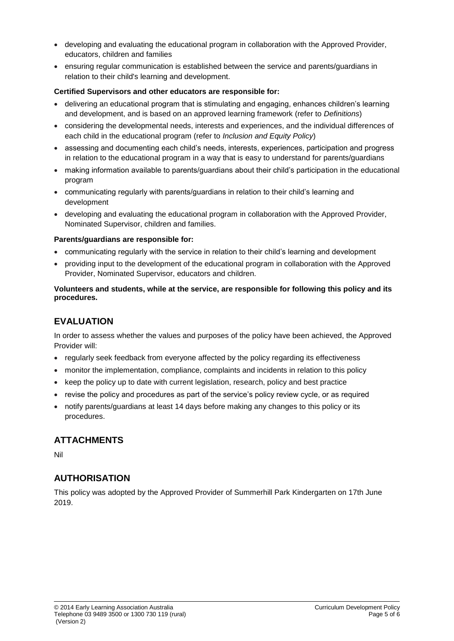- developing and evaluating the educational program in collaboration with the Approved Provider, educators, children and families
- ensuring regular communication is established between the service and parents/guardians in relation to their child's learning and development.

#### **Certified Supervisors and other educators are responsible for:**

- delivering an educational program that is stimulating and engaging, enhances children's learning and development, and is based on an approved learning framework (refer to *Definitions*)
- considering the developmental needs, interests and experiences, and the individual differences of each child in the educational program (refer to *Inclusion and Equity Policy*)
- assessing and documenting each child's needs, interests, experiences, participation and progress in relation to the educational program in a way that is easy to understand for parents/guardians
- making information available to parents/guardians about their child's participation in the educational program
- communicating regularly with parents/guardians in relation to their child's learning and development
- developing and evaluating the educational program in collaboration with the Approved Provider, Nominated Supervisor, children and families.

#### **Parents/guardians are responsible for:**

- communicating regularly with the service in relation to their child's learning and development
- providing input to the development of the educational program in collaboration with the Approved Provider, Nominated Supervisor, educators and children.

#### **Volunteers and students, while at the service, are responsible for following this policy and its procedures.**

## **EVALUATION**

In order to assess whether the values and purposes of the policy have been achieved, the Approved Provider will:

- regularly seek feedback from everyone affected by the policy regarding its effectiveness
- monitor the implementation, compliance, complaints and incidents in relation to this policy
- keep the policy up to date with current legislation, research, policy and best practice
- revise the policy and procedures as part of the service's policy review cycle, or as required
- notify parents/guardians at least 14 days before making any changes to this policy or its procedures.

## **ATTACHMENTS**

Nil

## **AUTHORISATION**

This policy was adopted by the Approved Provider of Summerhill Park Kindergarten on 17th June 2019.